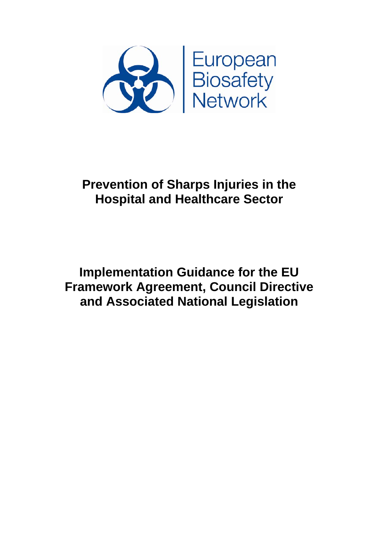

# **Prevention of Sharps Injuries in the Hospital and Healthcare Sector**

**Implementation Guidance for the EU Framework Agreement, Council Directive and Associated National Legislation**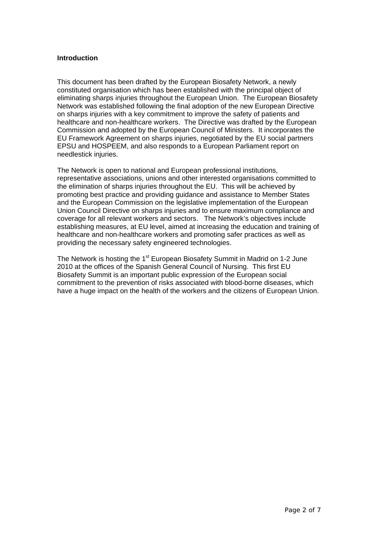#### **Introduction**

This document has been drafted by the European Biosafety Network, a newly constituted organisation which has been established with the principal object of eliminating sharps injuries throughout the European Union. The European Biosafety Network was established following the final adoption of the new European Directive on sharps injuries with a key commitment to improve the safety of patients and healthcare and non-healthcare workers. The Directive was drafted by the European Commission and adopted by the European Council of Ministers. It incorporates the EU Framework Agreement on sharps injuries, negotiated by the EU social partners EPSU and HOSPEEM, and also responds to a European Parliament report on needlestick injuries.

The Network is open to national and European professional institutions, representative associations, unions and other interested organisations committed to the elimination of sharps injuries throughout the EU. This will be achieved by promoting best practice and providing guidance and assistance to Member States and the European Commission on the legislative implementation of the European Union Council Directive on sharps injuries and to ensure maximum compliance and coverage for all relevant workers and sectors. The Network's objectives include establishing measures, at EU level, aimed at increasing the education and training of healthcare and non-healthcare workers and promoting safer practices as well as providing the necessary safety engineered technologies.

The Network is hosting the 1<sup>st</sup> European Biosafety Summit in Madrid on 1-2 June 2010 at the offices of the Spanish General Council of Nursing. This first EU Biosafety Summit is an important public expression of the European social commitment to the prevention of risks associated with blood-borne diseases, which have a huge impact on the health of the workers and the citizens of European Union.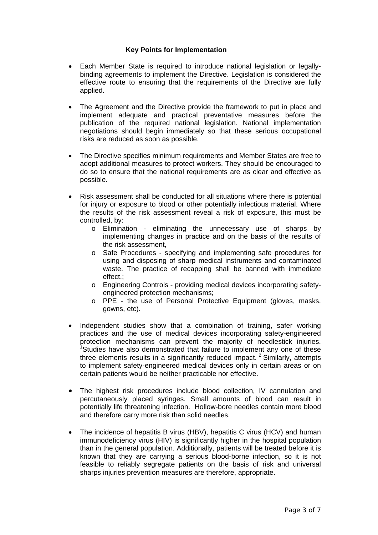#### **Key Points for Implementation**

- Each Member State is required to introduce national legislation or legallybinding agreements to implement the Directive. Legislation is considered the effective route to ensuring that the requirements of the Directive are fully applied.
- The Agreement and the Directive provide the framework to put in place and implement adequate and practical preventative measures before the publication of the required national legislation. National implementation negotiations should begin immediately so that these serious occupational risks are reduced as soon as possible.
- The Directive specifies minimum requirements and Member States are free to adopt additional measures to protect workers. They should be encouraged to do so to ensure that the national requirements are as clear and effective as possible.
- Risk assessment shall be conducted for all situations where there is potential for injury or exposure to blood or other potentially infectious material. Where the results of the risk assessment reveal a risk of exposure, this must be controlled, by:
	- o Elimination eliminating the unnecessary use of sharps by implementing changes in practice and on the basis of the results of the risk assessment,
	- o Safe Procedures specifying and implementing safe procedures for using and disposing of sharp medical instruments and contaminated waste. The practice of recapping shall be banned with immediate effect.;
	- o Engineering Controls providing medical devices incorporating safetyengineered protection mechanisms;
	- o PPE the use of Personal Protective Equipment (gloves, masks, gowns, etc).
- Independent studies show that a combination of training, safer working practices and the use of medical devices incorporating safety-engineered protection mechanisms can prevent the majority of needlestick injuries. <sup>1</sup>Studies have also demonstrated that failure to implement any one of these three elements results in a significantly reduced impact.  $2$  Similarly, attempts to implement safety-engineered medical devices only in certain areas or on certain patients would be neither practicable nor effective.
- The highest risk procedures include blood collection, IV cannulation and percutaneously placed syringes. Small amounts of blood can result in potentially life threatening infection. Hollow-bore needles contain more blood and therefore carry more risk than solid needles.
- The incidence of hepatitis B virus (HBV), hepatitis C virus (HCV) and human immunodeficiency virus (HIV) is significantly higher in the hospital population than in the general population. Additionally, patients will be treated before it is known that they are carrying a serious blood-borne infection, so it is not feasible to reliably segregate patients on the basis of risk and universal sharps injuries prevention measures are therefore, appropriate.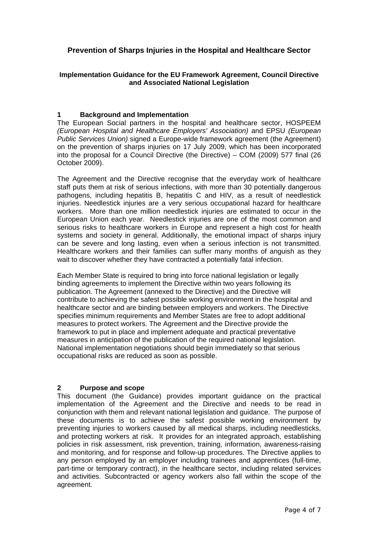# **Prevention of Sharps Injuries in the Hospital and Healthcare Sector**

## **Implementation Guidance for the EU Framework Agreement, Council Directive and Associated National Legislation**

### **1 Background and Implementation**

The European Social partners in the hospital and healthcare sector, HOSPEEM *(European Hospital and Healthcare Employers' Association)* and EPSU *(European Public Services Union*) signed a Europe-wide framework agreement (the Agreement) on the prevention of sharps injuries on 17 July 2009, which has been incorporated into the proposal for a Council Directive (the Directive) – COM (2009) 577 final (26 October 2009).

The Agreement and the Directive recognise that the everyday work of healthcare staff puts them at risk of serious infections, with more than 30 potentially dangerous pathogens, including hepatitis B, hepatitis C and HIV, as a result of needlestick injuries. Needlestick injuries are a very serious occupational hazard for healthcare workers. More than one million needlestick injuries are estimated to occur in the European Union each year. Needlestick injuries are one of the most common and serious risks to healthcare workers in Europe and represent a high cost for health systems and society in general. Additionally, the emotional impact of sharps injury can be severe and long lasting, even when a serious infection is not transmitted. Healthcare workers and their families can suffer many months of anguish as they wait to discover whether they have contracted a potentially fatal infection.

Each Member State is required to bring into force national legislation or legally binding agreements to implement the Directive within two years following its publication. The Agreement (annexed to the Directive) and the Directive will contribute to achieving the safest possible working environment in the hospital and healthcare sector and are binding between employers and workers. The Directive specifies minimum requirements and Member States are free to adopt additional measures to protect workers. The Agreement and the Directive provide the framework to put in place and implement adequate and practical preventative measures in anticipation of the publication of the required national legislation. National implementation negotiations should begin immediately so that serious occupational risks are reduced as soon as possible.

### **2 Purpose and scope**

This document (the Guidance) provides important guidance on the practical implementation of the Agreement and the Directive and needs to be read in conjunction with them and relevant national legislation and guidance. The purpose of these documents is to achieve the safest possible working environment by preventing injuries to workers caused by all medical sharps, including needlesticks, and protecting workers at risk. It provides for an integrated approach, establishing policies in risk assessment, risk prevention, training, information, awareness-raising and monitoring, and for response and follow-up procedures. The Directive applies to any person employed by an employer including trainees and apprentices (full-time, part-time or temporary contract), in the healthcare sector, including related services and activities. Subcontracted or agency workers also fall within the scope of the agreement.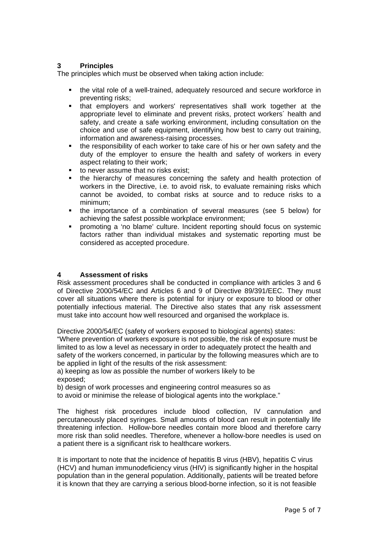## **3 Principles**

The principles which must be observed when taking action include:

- the vital role of a well-trained, adequately resourced and secure workforce in preventing risks;
- that employers and workers' representatives shall work together at the appropriate level to eliminate and prevent risks, protect workers´ health and safety, and create a safe working environment, including consultation on the choice and use of safe equipment, identifying how best to carry out training, information and awareness-raising processes.
- the responsibility of each worker to take care of his or her own safety and the duty of the employer to ensure the health and safety of workers in every aspect relating to their work;
- to never assume that no risks exist;
- the hierarchy of measures concerning the safety and health protection of workers in the Directive, i.e. to avoid risk, to evaluate remaining risks which cannot be avoided, to combat risks at source and to reduce risks to a minimum;
- the importance of a combination of several measures (see 5 below) for achieving the safest possible workplace environment;
- promoting a 'no blame' culture. Incident reporting should focus on systemic factors rather than individual mistakes and systematic reporting must be considered as accepted procedure.

### **4 Assessment of risks**

Risk assessment procedures shall be conducted in compliance with articles 3 and 6 of Directive 2000/54/EC and Articles 6 and 9 of Directive 89/391/EEC. They must cover all situations where there is potential for injury or exposure to blood or other potentially infectious material. The Directive also states that any risk assessment must take into account how well resourced and organised the workplace is.

Directive 2000/54/EC (safety of workers exposed to biological agents) states:

"Where prevention of workers exposure is not possible, the risk of exposure must be limited to as low a level as necessary in order to adequately protect the health and safety of the workers concerned, in particular by the following measures which are to be applied in light of the results of the risk assessment:

a) keeping as low as possible the number of workers likely to be exposed;

b) design of work processes and engineering control measures so as

to avoid or minimise the release of biological agents into the workplace."

The highest risk procedures include blood collection, IV cannulation and percutaneously placed syringes. Small amounts of blood can result in potentially life threatening infection. Hollow-bore needles contain more blood and therefore carry more risk than solid needles. Therefore, whenever a hollow-bore needles is used on a patient there is a significant risk to healthcare workers.

It is important to note that the incidence of hepatitis B virus (HBV), hepatitis C virus (HCV) and human immunodeficiency virus (HIV) is significantly higher in the hospital population than in the general population. Additionally, patients will be treated before it is known that they are carrying a serious blood-borne infection, so it is not feasible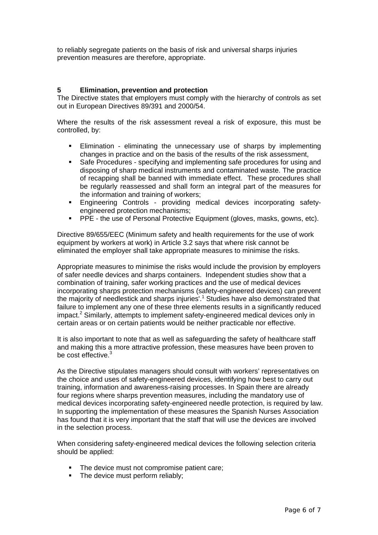to reliably segregate patients on the basis of risk and universal sharps injuries prevention measures are therefore, appropriate.

## **5 Elimination, prevention and protection**

The Directive states that employers must comply with the hierarchy of controls as set out in European Directives 89/391 and 2000/54.

Where the results of the risk assessment reveal a risk of exposure, this must be controlled, by:

- Elimination eliminating the unnecessary use of sharps by implementing changes in practice and on the basis of the results of the risk assessment,
- Safe Procedures specifying and implementing safe procedures for using and disposing of sharp medical instruments and contaminated waste. The practice of recapping shall be banned with immediate effect. These procedures shall be regularly reassessed and shall form an integral part of the measures for the information and training of workers;
- Engineering Controls providing medical devices incorporating safetyengineered protection mechanisms;
- PPE the use of Personal Protective Equipment (gloves, masks, gowns, etc).

Directive 89/655/EEC (Minimum safety and health requirements for the use of work equipment by workers at work) in Article 3.2 says that where risk cannot be eliminated the employer shall take appropriate measures to minimise the risks.

Appropriate measures to minimise the risks would include the provision by employers of safer needle devices and sharps containers. Independent studies show that a combination of training, safer working practices and the use of medical devices incorporating sharps protection mechanisms (safety-engineered devices) can prevent the majority of needlestick and sharps injuries'.<sup>1</sup> Studies have also demonstrated that failure to implement any one of these three elements results in a significantly reduced impact.<sup>2</sup> Similarly, attempts to implement safety-engineered medical devices only in certain areas or on certain patients would be neither practicable nor effective.

It is also important to note that as well as safeguarding the safety of healthcare staff and making this a more attractive profession, these measures have been proven to be cost effective.<sup>3</sup>

As the Directive stipulates managers should consult with workers' representatives on the choice and uses of safety-engineered devices, identifying how best to carry out training, information and awareness-raising processes. In Spain there are already four regions where sharps prevention measures, including the mandatory use of medical devices incorporating safety-engineered needle protection, is required by law. In supporting the implementation of these measures the Spanish Nurses Association has found that it is very important that the staff that will use the devices are involved in the selection process.

When considering safety-engineered medical devices the following selection criteria should be applied:

- The device must not compromise patient care;
- The device must perform reliably;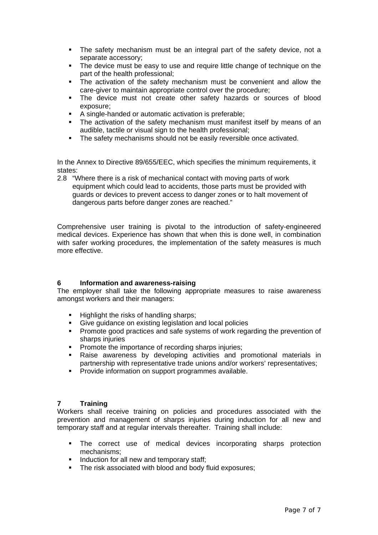- The safety mechanism must be an integral part of the safety device, not a separate accessory;
- The device must be easy to use and require little change of technique on the part of the health professional;
- The activation of the safety mechanism must be convenient and allow the care-giver to maintain appropriate control over the procedure;
- The device must not create other safety hazards or sources of blood exposure;
- A single-handed or automatic activation is preferable;
- The activation of the safety mechanism must manifest itself by means of an audible, tactile or visual sign to the health professional:
- The safety mechanisms should not be easily reversible once activated.

In the Annex to Directive 89/655/EEC, which specifies the minimum requirements, it states:

2.8 "Where there is a risk of mechanical contact with moving parts of work equipment which could lead to accidents, those parts must be provided with guards or devices to prevent access to danger zones or to halt movement of dangerous parts before danger zones are reached."

Comprehensive user training is pivotal to the introduction of safety-engineered medical devices. Experience has shown that when this is done well, in combination with safer working procedures, the implementation of the safety measures is much more effective.

### **6 Information and awareness-raising**

The employer shall take the following appropriate measures to raise awareness amongst workers and their managers:

- Highlight the risks of handling sharps;
- Give guidance on existing legislation and local policies
- **Promote good practices and safe systems of work regarding the prevention of** sharps injuries
- **Promote the importance of recording sharps injuries;**
- Raise awareness by developing activities and promotional materials in partnership with representative trade unions and/or workers' representatives;
- Provide information on support programmes available.

### **7 Training**

Workers shall receive training on policies and procedures associated with the prevention and management of sharps injuries during induction for all new and temporary staff and at regular intervals thereafter. Training shall include:

- The correct use of medical devices incorporating sharps protection mechanisms;
- Induction for all new and temporary staff;
- The risk associated with blood and body fluid exposures;